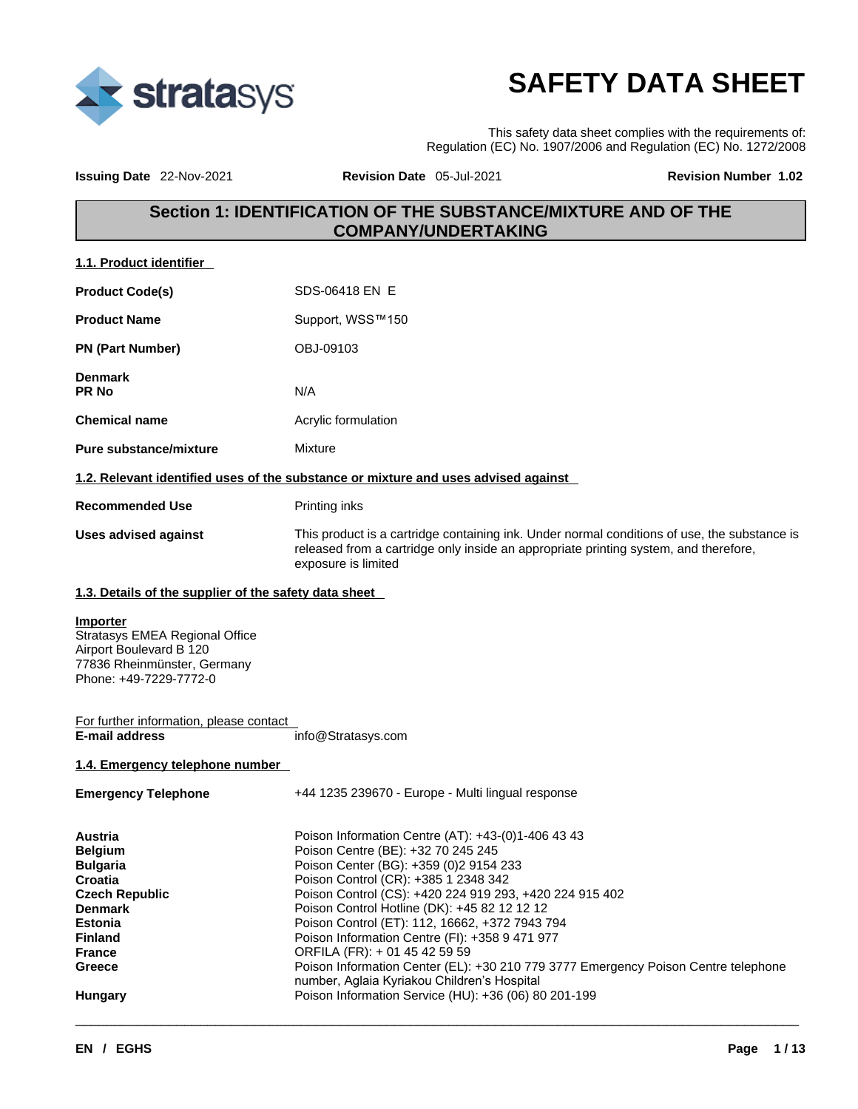

# **SAFETY DATA SHEET**

This safety data sheet complies with the requirements of: Regulation (EC) No. 1907/2006 and Regulation (EC) No. 1272/2008

**Issuing Date** 22-Nov-2021 **Revision Date** 05-Jul-2021 **Revision Number 1.02** 

### **Section 1: IDENTIFICATION OF THE SUBSTANCE/MIXTURE AND OF THE COMPANY/UNDERTAKING**

| 1.1. Product identifier |
|-------------------------|
|-------------------------|

| <b>Product Code(s)</b>         | SDS-06418 EN E                                                                                                                                                                                              |
|--------------------------------|-------------------------------------------------------------------------------------------------------------------------------------------------------------------------------------------------------------|
| <b>Product Name</b>            | Support, WSS™150                                                                                                                                                                                            |
| <b>PN (Part Number)</b>        | OBJ-09103                                                                                                                                                                                                   |
| <b>Denmark</b><br><b>PR No</b> | N/A                                                                                                                                                                                                         |
| <b>Chemical name</b>           | Acrylic formulation                                                                                                                                                                                         |
| <b>Pure substance/mixture</b>  | Mixture                                                                                                                                                                                                     |
|                                | 1.2. Relevant identified uses of the substance or mixture and uses advised against                                                                                                                          |
| <b>Recommended Use</b>         | Printing inks                                                                                                                                                                                               |
| Uses advised against           | This product is a cartridge containing ink. Under normal conditions of use, the substance is<br>released from a cartridge only inside an appropriate printing system, and therefore,<br>exposure is limited |

#### **1.3. Details of the supplier of the safety data sheet**

### **Importer**

Stratasys EMEA Regional Office Airport Boulevard B 120 77836 Rheinmünster, Germany Phone: +49-7229-7772-0

#### For further information, please contact<br>E-mail address **E-mail address** info@Stratasys.com

#### **1.4. Emergency telephone number**

| <b>Emergency Telephone</b> | +44 1235 239670 - Europe - Multi lingual response                                                                                 |
|----------------------------|-----------------------------------------------------------------------------------------------------------------------------------|
| <b>Austria</b>             | Poison Information Centre (AT): +43-(0)1-406 43 43                                                                                |
| <b>Belgium</b>             | Poison Centre (BE): +32 70 245 245                                                                                                |
| <b>Bulgaria</b>            | Poison Center (BG): +359 (0) 2 9154 233                                                                                           |
| <b>Croatia</b>             | Poison Control (CR): +385 1 2348 342                                                                                              |
| <b>Czech Republic</b>      | Poison Control (CS): +420 224 919 293, +420 224 915 402                                                                           |
| <b>Denmark</b>             | Poison Control Hotline (DK): +45 82 12 12 12                                                                                      |
| <b>Estonia</b>             | Poison Control (ET): 112, 16662, +372 7943 794                                                                                    |
| <b>Finland</b>             | Poison Information Centre (FI): +358 9 471 977                                                                                    |
| France                     | ORFILA (FR): + 01 45 42 59 59                                                                                                     |
| Greece                     | Poison Information Center (EL): +30 210 779 3777 Emergency Poison Centre telephone<br>number, Aglaia Kyriakou Children's Hospital |
| Hungary                    | Poison Information Service (HU): +36 (06) 80 201-199                                                                              |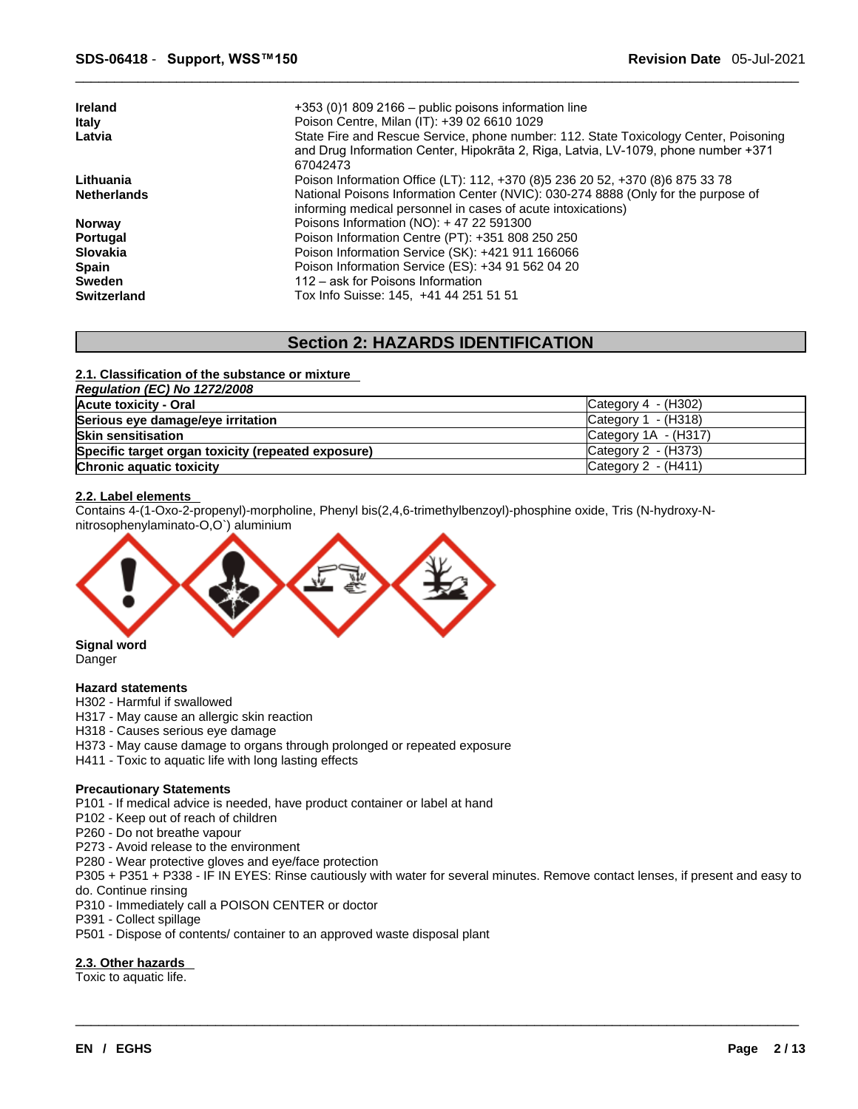| $+353(0)18092166$ – public poisons information line                                                                                                                        |
|----------------------------------------------------------------------------------------------------------------------------------------------------------------------------|
| Poison Centre, Milan (IT): +39 02 6610 1029                                                                                                                                |
| State Fire and Rescue Service, phone number: 112. State Toxicology Center, Poisoning<br>and Drug Information Center, Hipokrāta 2, Riga, Latvia, LV-1079, phone number +371 |
| 67042473                                                                                                                                                                   |
| Poison Information Office (LT): 112, +370 (8) 5 236 20 52, +370 (8) 6 875 33 78                                                                                            |
| National Poisons Information Center (NVIC): 030-274 8888 (Only for the purpose of                                                                                          |
| informing medical personnel in cases of acute intoxications)                                                                                                               |
| Poisons Information (NO): $+47$ 22 591300                                                                                                                                  |
| Poison Information Centre (PT): +351 808 250 250                                                                                                                           |
| Poison Information Service (SK): +421 911 166066                                                                                                                           |
| Poison Information Service (ES): +34 91 562 04 20                                                                                                                          |
| 112 – ask for Poisons Information                                                                                                                                          |
| Tox Info Suisse: 145. +41 44 251 51 51                                                                                                                                     |
|                                                                                                                                                                            |

### **Section 2: HAZARDS IDENTIFICATION**

#### **2.1. Classification of the substance or mixture**

| Regulation (EC) No 1272/2008                       |                                        |
|----------------------------------------------------|----------------------------------------|
| Acute toxicity - Oral                              | Category $4 - (H302)$                  |
| Serious eye damage/eye irritation                  | $\textsf{C}\text{a}$ tegory 1 - (H318) |
| <b>Skin sensitisation</b>                          | Category $1A - (H317)$                 |
| Specific target organ toxicity (repeated exposure) | $Cateqorv 2 - (H373)$                  |
| Chronic aquatic toxicity                           | Category 2 - (H411)                    |

#### **2.2. Label elements**

Contains 4-(1-Oxo-2-propenyl)-morpholine, Phenyl bis(2,4,6-trimethylbenzoyl)-phosphine oxide, Tris (N-hydroxy-N nitrosophenylaminato-O,O`) aluminium



Danger

#### **Hazard statements**

- H302 Harmful if swallowed
- H317 May cause an allergic skin reaction
- H318 Causes serious eye damage
- H373 May cause damage to organs through prolonged or repeated exposure
- H411 Toxic to aquatic life with long lasting effects

#### **Precautionary Statements**

P101 - If medical advice is needed, have product container or label at hand

- P102 Keep out of reach of children
- P260 Do not breathe vapour
- P273 Avoid release to the environment
- P280 Wear protective gloves and eye/face protection
- P305 + P351 + P338 IF IN EYES: Rinse cautiously with water forseveral minutes. Remove contact lenses, if present and easy to do. Continue rinsing

 $\_$  ,  $\_$  ,  $\_$  ,  $\_$  ,  $\_$  ,  $\_$  ,  $\_$  ,  $\_$  ,  $\_$  ,  $\_$  ,  $\_$  ,  $\_$  ,  $\_$  ,  $\_$  ,  $\_$  ,  $\_$  ,  $\_$  ,  $\_$  ,  $\_$  ,  $\_$  ,  $\_$  ,  $\_$  ,  $\_$  ,  $\_$  ,  $\_$  ,  $\_$  ,  $\_$  ,  $\_$  ,  $\_$  ,  $\_$  ,  $\_$  ,  $\_$  ,  $\_$  ,  $\_$  ,  $\_$  ,  $\_$  ,  $\_$  ,

- P310 Immediately call a POISON CENTER or doctor
- P391 Collect spillage
- P501 Dispose of contents/ container to an approved waste disposal plant

### **2.3. Other hazards**

Toxic to aquatic life.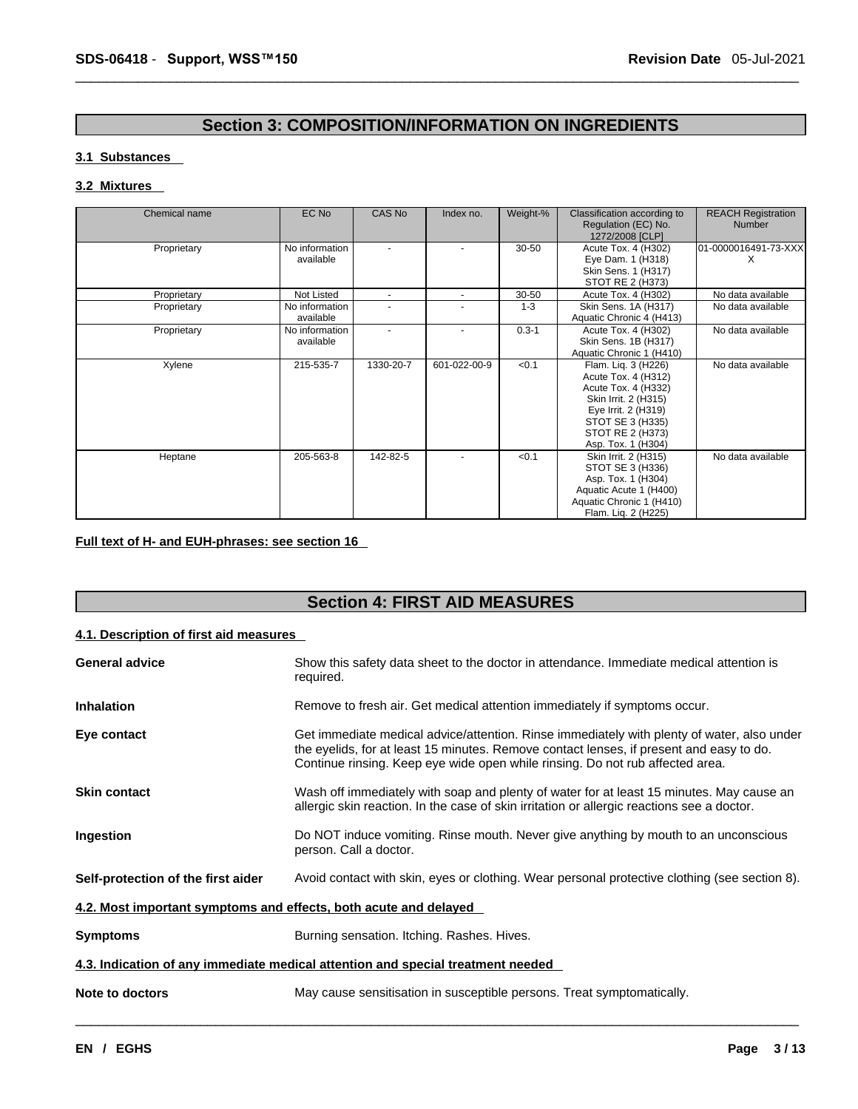### **Section 3: COMPOSITION/INFORMATION ON INGREDIENTS**

#### **3.1 Substances**

#### **3.2 Mixtures**

| Chemical name | EC No                       | CAS No                   | Index no.    | Weight-%  | Classification according to<br>Regulation (EC) No.<br>1272/2008 [CLP]                                                                                                          | <b>REACH Registration</b><br><b>Number</b> |
|---------------|-----------------------------|--------------------------|--------------|-----------|--------------------------------------------------------------------------------------------------------------------------------------------------------------------------------|--------------------------------------------|
| Proprietary   | No information<br>available |                          |              | $30 - 50$ | Acute Tox. 4 (H302)<br>Eye Dam. 1 (H318)<br>Skin Sens. 1 (H317)<br>STOT RE 2 (H373)                                                                                            | 01-0000016491-73-XXX<br>X                  |
| Proprietary   | Not Listed                  | $\overline{\phantom{a}}$ | $\sim$       | 30-50     | Acute Tox. 4 (H302)                                                                                                                                                            | No data available                          |
| Proprietary   | No information<br>available |                          |              | $1 - 3$   | Skin Sens. 1A (H317)<br>Aquatic Chronic 4 (H413)                                                                                                                               | No data available                          |
| Proprietary   | No information<br>available | $\blacksquare$           |              | $0.3 - 1$ | Acute Tox. 4 (H302)<br>Skin Sens. 1B (H317)<br>Aquatic Chronic 1 (H410)                                                                                                        | No data available                          |
| Xylene        | 215-535-7                   | 1330-20-7                | 601-022-00-9 | < 0.1     | Flam. Liq. 3 (H226)<br>Acute Tox. 4 (H312)<br>Acute Tox. 4 (H332)<br>Skin Irrit. 2 (H315)<br>Eye Irrit. 2 (H319)<br>STOT SE 3 (H335)<br>STOT RE 2 (H373)<br>Asp. Tox. 1 (H304) | No data available                          |
| Heptane       | 205-563-8                   | 142-82-5                 |              | < 0.1     | Skin Irrit. 2 (H315)<br>STOT SE 3 (H336)<br>Asp. Tox. 1 (H304)<br>Aquatic Acute 1 (H400)<br>Aquatic Chronic 1 (H410)<br>Flam. Lig. 2 (H225)                                    | No data available                          |

### **Full text of H- and EUH-phrases: see section 16**

### **Section 4: FIRST AID MEASURES**

### **4.1. Description of first aid measures**

| <b>General advice</b>                                            | Show this safety data sheet to the doctor in attendance. Immediate medical attention is<br>required.                                                                                                                                                                   |
|------------------------------------------------------------------|------------------------------------------------------------------------------------------------------------------------------------------------------------------------------------------------------------------------------------------------------------------------|
| <b>Inhalation</b>                                                | Remove to fresh air. Get medical attention immediately if symptoms occur.                                                                                                                                                                                              |
| Eye contact                                                      | Get immediate medical advice/attention. Rinse immediately with plenty of water, also under<br>the eyelids, for at least 15 minutes. Remove contact lenses, if present and easy to do.<br>Continue rinsing. Keep eye wide open while rinsing. Do not rub affected area. |
| <b>Skin contact</b>                                              | Wash off immediately with soap and plenty of water for at least 15 minutes. May cause an<br>allergic skin reaction. In the case of skin irritation or allergic reactions see a doctor.                                                                                 |
| Ingestion                                                        | Do NOT induce vomiting. Rinse mouth. Never give anything by mouth to an unconscious<br>person. Call a doctor.                                                                                                                                                          |
| Self-protection of the first aider                               | Avoid contact with skin, eyes or clothing. Wear personal protective clothing (see section 8).                                                                                                                                                                          |
| 4.2. Most important symptoms and effects, both acute and delayed |                                                                                                                                                                                                                                                                        |
| <b>Symptoms</b>                                                  | Burning sensation. Itching. Rashes. Hives.                                                                                                                                                                                                                             |
|                                                                  | 4.3. Indication of any immediate medical attention and special treatment needed                                                                                                                                                                                        |
| Note to doctors                                                  | May cause sensitisation in susceptible persons. Treat symptomatically.                                                                                                                                                                                                 |
|                                                                  |                                                                                                                                                                                                                                                                        |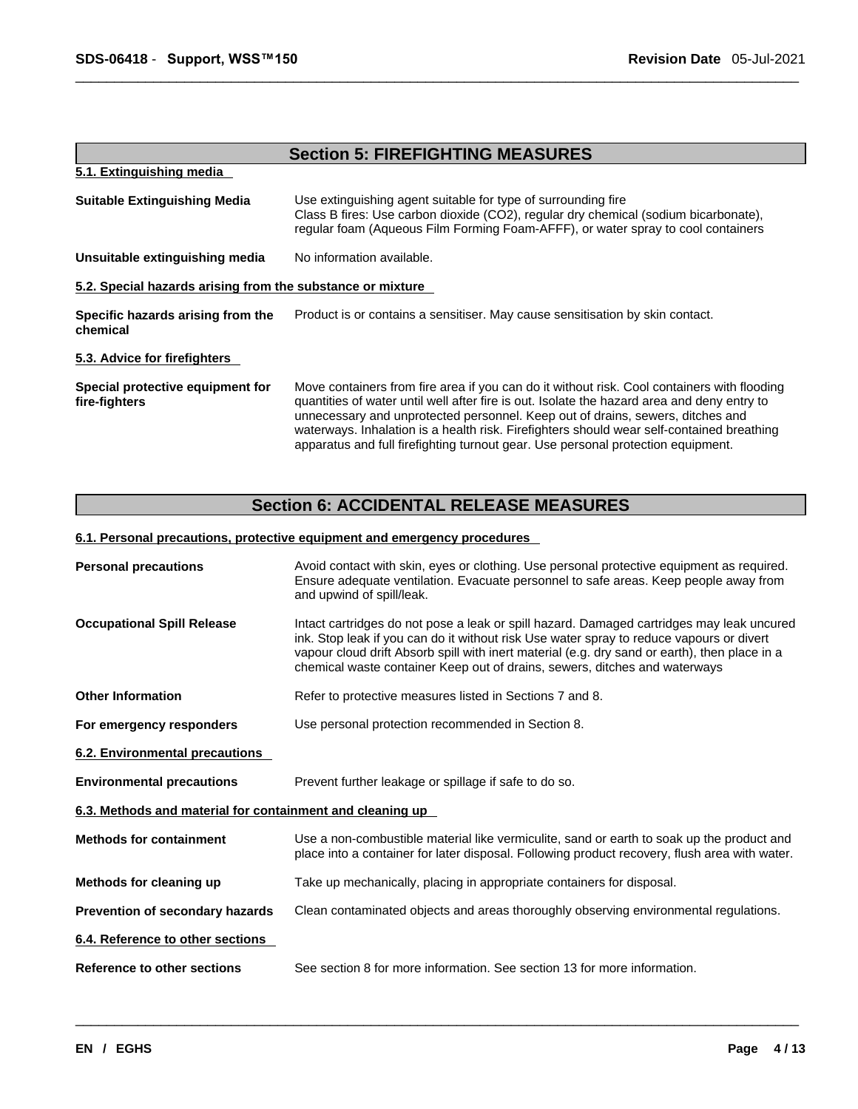|                                                            | <b>Section 5: FIREFIGHTING MEASURES</b>                                                                                                                                                                                                                                                                                                                                                                                                                       |
|------------------------------------------------------------|---------------------------------------------------------------------------------------------------------------------------------------------------------------------------------------------------------------------------------------------------------------------------------------------------------------------------------------------------------------------------------------------------------------------------------------------------------------|
| 5.1. Extinguishing media                                   |                                                                                                                                                                                                                                                                                                                                                                                                                                                               |
| <b>Suitable Extinguishing Media</b>                        | Use extinguishing agent suitable for type of surrounding fire<br>Class B fires: Use carbon dioxide (CO2), regular dry chemical (sodium bicarbonate),<br>regular foam (Aqueous Film Forming Foam-AFFF), or water spray to cool containers                                                                                                                                                                                                                      |
| Unsuitable extinguishing media                             | No information available.                                                                                                                                                                                                                                                                                                                                                                                                                                     |
| 5.2. Special hazards arising from the substance or mixture |                                                                                                                                                                                                                                                                                                                                                                                                                                                               |
| Specific hazards arising from the<br>chemical              | Product is or contains a sensitiser. May cause sensitisation by skin contact.                                                                                                                                                                                                                                                                                                                                                                                 |
| 5.3. Advice for firefighters                               |                                                                                                                                                                                                                                                                                                                                                                                                                                                               |
| Special protective equipment for<br>fire-fighters          | Move containers from fire area if you can do it without risk. Cool containers with flooding<br>quantities of water until well after fire is out. Isolate the hazard area and deny entry to<br>unnecessary and unprotected personnel. Keep out of drains, sewers, ditches and<br>waterways. Inhalation is a health risk. Firefighters should wear self-contained breathing<br>apparatus and full firefighting turnout gear. Use personal protection equipment. |

### **Section 6: ACCIDENTAL RELEASE MEASURES**

#### **6.1. Personal precautions, protective equipment and emergency procedures**

| <b>Personal precautions</b>                               | Avoid contact with skin, eyes or clothing. Use personal protective equipment as required.<br>Ensure adequate ventilation. Evacuate personnel to safe areas. Keep people away from<br>and upwind of spill/leak.                                                                                                                                                       |
|-----------------------------------------------------------|----------------------------------------------------------------------------------------------------------------------------------------------------------------------------------------------------------------------------------------------------------------------------------------------------------------------------------------------------------------------|
| <b>Occupational Spill Release</b>                         | Intact cartridges do not pose a leak or spill hazard. Damaged cartridges may leak uncured<br>ink. Stop leak if you can do it without risk Use water spray to reduce vapours or divert<br>vapour cloud drift Absorb spill with inert material (e.g. dry sand or earth), then place in a<br>chemical waste container Keep out of drains, sewers, ditches and waterways |
| <b>Other Information</b>                                  | Refer to protective measures listed in Sections 7 and 8.                                                                                                                                                                                                                                                                                                             |
| For emergency responders                                  | Use personal protection recommended in Section 8.                                                                                                                                                                                                                                                                                                                    |
| 6.2. Environmental precautions                            |                                                                                                                                                                                                                                                                                                                                                                      |
| <b>Environmental precautions</b>                          | Prevent further leakage or spillage if safe to do so.                                                                                                                                                                                                                                                                                                                |
| 6.3. Methods and material for containment and cleaning up |                                                                                                                                                                                                                                                                                                                                                                      |
| <b>Methods for containment</b>                            | Use a non-combustible material like vermiculite, sand or earth to soak up the product and<br>place into a container for later disposal. Following product recovery, flush area with water.                                                                                                                                                                           |
| Methods for cleaning up                                   | Take up mechanically, placing in appropriate containers for disposal.                                                                                                                                                                                                                                                                                                |
| Prevention of secondary hazards                           | Clean contaminated objects and areas thoroughly observing environmental regulations.                                                                                                                                                                                                                                                                                 |
| 6.4. Reference to other sections                          |                                                                                                                                                                                                                                                                                                                                                                      |
| Reference to other sections                               | See section 8 for more information. See section 13 for more information.                                                                                                                                                                                                                                                                                             |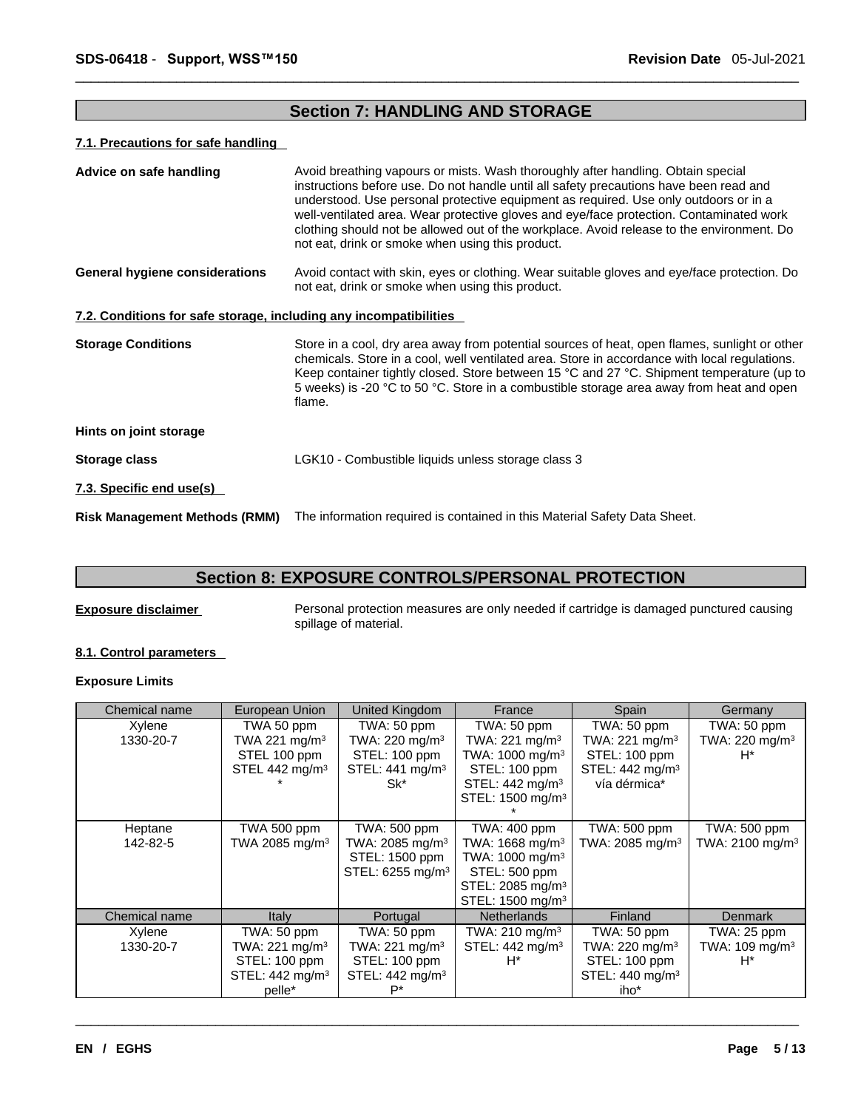### **Section 7: HANDLING AND STORAGE**

#### **7.1. Precautions for safe handling**

| Advice on safe handling                                           | Avoid breathing vapours or mists. Wash thoroughly after handling. Obtain special<br>instructions before use. Do not handle until all safety precautions have been read and<br>understood. Use personal protective equipment as required. Use only outdoors or in a<br>well-ventilated area. Wear protective gloves and eye/face protection. Contaminated work<br>clothing should not be allowed out of the workplace. Avoid release to the environment. Do<br>not eat, drink or smoke when using this product. |
|-------------------------------------------------------------------|----------------------------------------------------------------------------------------------------------------------------------------------------------------------------------------------------------------------------------------------------------------------------------------------------------------------------------------------------------------------------------------------------------------------------------------------------------------------------------------------------------------|
| <b>General hygiene considerations</b>                             | Avoid contact with skin, eyes or clothing. Wear suitable gloves and eye/face protection. Do<br>not eat, drink or smoke when using this product.                                                                                                                                                                                                                                                                                                                                                                |
| 7.2. Conditions for safe storage, including any incompatibilities |                                                                                                                                                                                                                                                                                                                                                                                                                                                                                                                |
| <b>Storage Conditions</b>                                         | Store in a cool, dry area away from potential sources of heat, open flames, sunlight or other<br>chemicals. Store in a cool, well ventilated area. Store in accordance with local regulations.<br>Keep container tightly closed. Store between 15 °C and 27 °C. Shipment temperature (up to<br>5 weeks) is -20 °C to 50 °C. Store in a combustible storage area away from heat and open<br>flame.                                                                                                              |
| Hints on joint storage                                            |                                                                                                                                                                                                                                                                                                                                                                                                                                                                                                                |
| Storage class                                                     | LGK10 - Combustible liquids unless storage class 3                                                                                                                                                                                                                                                                                                                                                                                                                                                             |
| 7.3. Specific end use(s)                                          |                                                                                                                                                                                                                                                                                                                                                                                                                                                                                                                |
| <b>Risk Management Methods (RMM)</b>                              | The information required is contained in this Material Safety Data Sheet.                                                                                                                                                                                                                                                                                                                                                                                                                                      |

### **Section 8: EXPOSURE CONTROLS/PERSONAL PROTECTION**

**Exposure disclaimer** Personal protection measures are only needed if cartridge is damaged punctured causing spillage of material.

#### **8.1. Control parameters**

### **Exposure Limits**

| Chemical name | European Union              | United Kingdom               | France                       | Spain                       | Germany                     |  |
|---------------|-----------------------------|------------------------------|------------------------------|-----------------------------|-----------------------------|--|
| Xylene        | TWA 50 ppm                  | TWA: 50 ppm                  | TWA: 50 ppm                  | TWA: 50 ppm                 | TWA: 50 ppm                 |  |
| 1330-20-7     | TWA 221 mg/m <sup>3</sup>   | TWA: $220 \text{ mg/m}^3$    | TWA: 221 mg/m <sup>3</sup>   | TWA: $221 \text{ mg/m}^3$   | TWA: 220 mg/m <sup>3</sup>  |  |
|               | STEL 100 ppm                | STEL: 100 ppm                | TWA: 1000 mg/m <sup>3</sup>  | STEL: 100 ppm               | H*                          |  |
|               | STEL 442 mg/m <sup>3</sup>  | STEL: 441 mg/m <sup>3</sup>  | STEL: 100 ppm                | STEL: 442 mg/m <sup>3</sup> |                             |  |
|               |                             | Sk*                          | STEL: 442 mg/m <sup>3</sup>  | vía dérmica*                |                             |  |
|               |                             |                              | STEL: 1500 mg/m <sup>3</sup> |                             |                             |  |
|               |                             |                              |                              |                             |                             |  |
| Heptane       | TWA 500 ppm                 | TWA: 500 ppm                 | TWA: 400 ppm                 | TWA: 500 ppm                | TWA: 500 ppm                |  |
| 142-82-5      | TWA 2085 mg/m <sup>3</sup>  | TWA: 2085 mg/m <sup>3</sup>  | TWA: 1668 mg/m <sup>3</sup>  | TWA: 2085 mg/m <sup>3</sup> | TWA: 2100 mg/m <sup>3</sup> |  |
|               |                             | STEL: 1500 ppm               | TWA: 1000 mg/m <sup>3</sup>  |                             |                             |  |
|               |                             | STEL: 6255 mg/m <sup>3</sup> | STEL: 500 ppm                |                             |                             |  |
|               |                             |                              | STEL: 2085 mg/m <sup>3</sup> |                             |                             |  |
|               |                             |                              | STEL: 1500 mg/m <sup>3</sup> |                             |                             |  |
| Chemical name | Italy                       | Portugal                     | <b>Netherlands</b>           | Finland                     | <b>Denmark</b>              |  |
| Xylene        | TWA: 50 ppm                 | TWA: 50 ppm                  | TWA: 210 mg/m <sup>3</sup>   | TWA: 50 ppm                 | TWA: 25 ppm                 |  |
| 1330-20-7     | TWA: 221 mg/m <sup>3</sup>  | TWA: 221 mg/m <sup>3</sup>   | STEL: 442 mg/m <sup>3</sup>  | TWA: 220 mg/m <sup>3</sup>  | TWA: 109 mg/m <sup>3</sup>  |  |
|               | STEL: 100 ppm               | STEL: 100 ppm                | H*                           | STEL: 100 ppm               | H*                          |  |
|               | STEL: 442 mg/m <sup>3</sup> | STEL: 442 mg/m <sup>3</sup>  |                              | STEL: 440 mg/m <sup>3</sup> |                             |  |
|               | pelle*                      | Р*                           |                              | iho*                        |                             |  |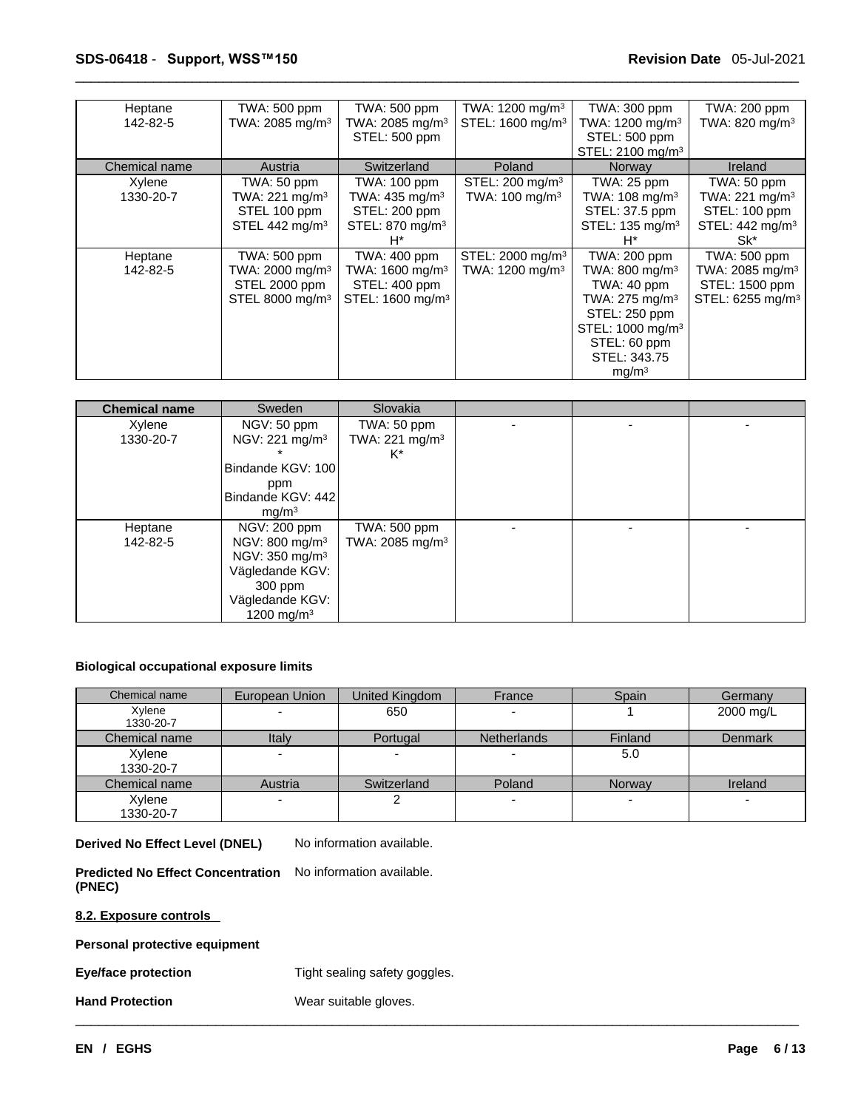| Heptane<br>142-82-5 | TWA: 500 ppm<br>TWA: 2085 mg/m <sup>3</sup>                                                 | TWA: 500 ppm<br>TWA: 2085 mg/m <sup>3</sup><br>STEL: 500 ppm                                    | TWA: 1200 mg/m <sup>3</sup><br>STEL: 1600 mg/m <sup>3</sup> | TWA: 300 ppm<br>TWA: $1200 \text{ mg/m}^3$<br>STEL: 500 ppm<br>STEL: 2100 mg/m <sup>3</sup>                                                                                          | TWA: 200 ppm<br>TWA: 820 mg/m <sup>3</sup>                                                      |
|---------------------|---------------------------------------------------------------------------------------------|-------------------------------------------------------------------------------------------------|-------------------------------------------------------------|--------------------------------------------------------------------------------------------------------------------------------------------------------------------------------------|-------------------------------------------------------------------------------------------------|
| Chemical name       | Austria                                                                                     | Switzerland                                                                                     | Poland                                                      | Norway                                                                                                                                                                               | <b>Ireland</b>                                                                                  |
| Xylene<br>1330-20-7 | TWA: 50 ppm<br>TWA: 221 mg/m $3$<br>STEL 100 ppm<br>STEL 442 mg/m <sup>3</sup>              | TWA: 100 ppm<br>TWA: $435 \text{ mg/m}^3$<br>STEL: 200 ppm<br>STEL: 870 mg/m <sup>3</sup><br>H* | STEL: 200 mg/m $3$<br>TWA: $100 \text{ mg/m}^3$             | TWA: 25 ppm<br>TWA: $108 \text{ mg/m}^3$<br>STEL: 37.5 ppm<br>STEL: 135 mg/m <sup>3</sup><br>H*                                                                                      | TWA: 50 ppm<br>TWA: $221 \text{ mg/m}^3$<br>STEL: 100 ppm<br>STEL: 442 mg/m <sup>3</sup><br>Sk* |
| Heptane<br>142-82-5 | TWA: 500 ppm<br>TWA: 2000 mg/m <sup>3</sup><br>STEL 2000 ppm<br>STEL 8000 mg/m <sup>3</sup> | TWA: 400 ppm<br>TWA: 1600 mg/m <sup>3</sup><br>STEL: 400 ppm<br>STEL: 1600 mg/m <sup>3</sup>    | STEL: 2000 mg/m <sup>3</sup><br>TWA: 1200 mg/m <sup>3</sup> | TWA: 200 ppm<br>TWA: 800 mg/m $3$<br>TWA: 40 ppm<br>TWA: 275 mg/m <sup>3</sup><br>STEL: 250 ppm<br>STEL: 1000 mg/m <sup>3</sup><br>STEL: 60 ppm<br>STEL: 343.75<br>mq/m <sup>3</sup> | TWA: 500 ppm<br>TWA: 2085 mg/m <sup>3</sup><br>STEL: 1500 ppm<br>STEL: 6255 mg/m <sup>3</sup>   |

| <b>Chemical name</b> | Sweden                     | Slovakia                    |  |  |
|----------------------|----------------------------|-----------------------------|--|--|
| Xylene               | NGV: 50 ppm                | TWA: 50 ppm                 |  |  |
| 1330-20-7            | NGV: 221 mg/m <sup>3</sup> | TWA: 221 mg/m <sup>3</sup>  |  |  |
|                      |                            | K*                          |  |  |
|                      | Bindande KGV: 100          |                             |  |  |
|                      | ppm                        |                             |  |  |
|                      | Bindande KGV: 442          |                             |  |  |
|                      | mq/m <sup>3</sup>          |                             |  |  |
| Heptane              | NGV: 200 ppm               | TWA: 500 ppm                |  |  |
| 142-82-5             | NGV: 800 mg/m <sup>3</sup> | TWA: 2085 mg/m <sup>3</sup> |  |  |
|                      | NGV: 350 mg/m <sup>3</sup> |                             |  |  |
|                      | Vägledande KGV:            |                             |  |  |
|                      | $300$ ppm                  |                             |  |  |
|                      | Vägledande KGV:            |                             |  |  |
|                      | 1200 mg/m $3$              |                             |  |  |

#### **Biological occupational exposure limits**

| Chemical name       | European Union           | United Kingdom | France             | Spain   | Germany        |
|---------------------|--------------------------|----------------|--------------------|---------|----------------|
| Xylene<br>1330-20-7 |                          | 650            |                    |         | 2000 mg/L      |
| Chemical name       | Italy                    | Portugal       | <b>Netherlands</b> | Finland | <b>Denmark</b> |
| Xylene<br>1330-20-7 | $\overline{\phantom{a}}$ |                |                    | 5.0     |                |
| Chemical name       | Austria                  | Switzerland    | Poland             | Norway  | Ireland        |
| Xylene<br>1330-20-7 | $\overline{\phantom{0}}$ |                |                    |         |                |

 $\_$  ,  $\_$  ,  $\_$  ,  $\_$  ,  $\_$  ,  $\_$  ,  $\_$  ,  $\_$  ,  $\_$  ,  $\_$  ,  $\_$  ,  $\_$  ,  $\_$  ,  $\_$  ,  $\_$  ,  $\_$  ,  $\_$  ,  $\_$  ,  $\_$  ,  $\_$  ,  $\_$  ,  $\_$  ,  $\_$  ,  $\_$  ,  $\_$  ,  $\_$  ,  $\_$  ,  $\_$  ,  $\_$  ,  $\_$  ,  $\_$  ,  $\_$  ,  $\_$  ,  $\_$  ,  $\_$  ,  $\_$  ,  $\_$  ,

**Derived No Effect Level (DNEL)** No information available.

**Predicted No Effect Concentration** No information available. **(PNEC)** 

**8.2. Exposure controls** 

**Personal protective equipment**

**Eye/face protection** Tight sealing safety goggles.

**Hand Protection** Wear suitable gloves.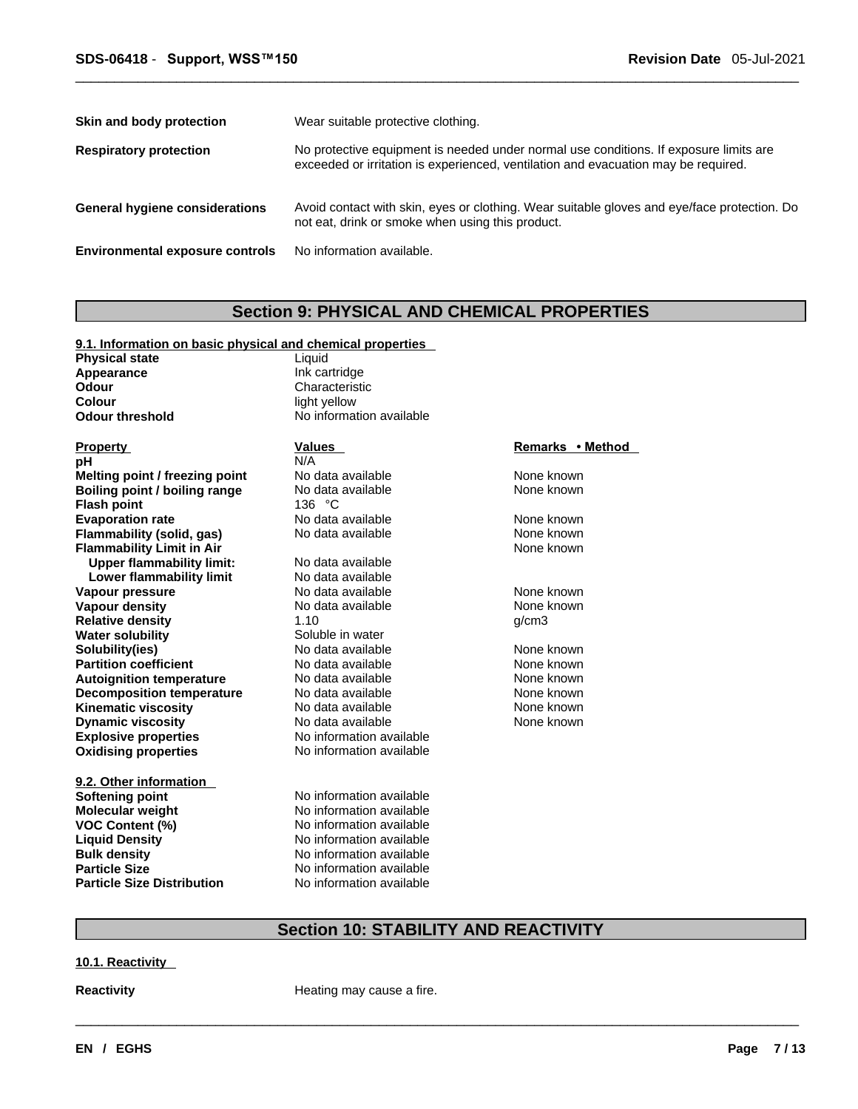| Skin and body protection               | Wear suitable protective clothing.                                                                                                                                          |
|----------------------------------------|-----------------------------------------------------------------------------------------------------------------------------------------------------------------------------|
| <b>Respiratory protection</b>          | No protective equipment is needed under normal use conditions. If exposure limits are<br>exceeded or irritation is experienced, ventilation and evacuation may be required. |
| <b>General hygiene considerations</b>  | Avoid contact with skin, eyes or clothing. Wear suitable gloves and eye/face protection. Do<br>not eat, drink or smoke when using this product.                             |
| <b>Environmental exposure controls</b> | No information available.                                                                                                                                                   |

### **Section 9: PHYSICAL AND CHEMICAL PROPERTIES**

| Appearance                        | Ink cartridge            |                  |  |
|-----------------------------------|--------------------------|------------------|--|
| <b>Odour</b>                      | Characteristic           |                  |  |
| Colour                            | light yellow             |                  |  |
| <b>Odour threshold</b>            | No information available |                  |  |
| <b>Property</b>                   | Values                   | Remarks • Method |  |
| рH                                | N/A                      |                  |  |
| Melting point / freezing point    | No data available        | None known       |  |
| Boiling point / boiling range     | No data available        | None known       |  |
| <b>Flash point</b>                | 136 $°C$                 |                  |  |
| <b>Evaporation rate</b>           | No data available        | None known       |  |
| Flammability (solid, gas)         | No data available        | None known       |  |
| <b>Flammability Limit in Air</b>  |                          | None known       |  |
| <b>Upper flammability limit:</b>  | No data available        |                  |  |
| Lower flammability limit          | No data available        |                  |  |
| Vapour pressure                   | No data available        | None known       |  |
| <b>Vapour density</b>             | No data available        | None known       |  |
| <b>Relative density</b>           | 1.10                     | q/cm3            |  |
| <b>Water solubility</b>           | Soluble in water         |                  |  |
| Solubility(ies)                   | No data available        | None known       |  |
| <b>Partition coefficient</b>      | No data available        | None known       |  |
| <b>Autoignition temperature</b>   | No data available        | None known       |  |
| <b>Decomposition temperature</b>  | No data available        | None known       |  |
| <b>Kinematic viscosity</b>        | No data available        | None known       |  |
| <b>Dynamic viscosity</b>          | No data available        | None known       |  |
| <b>Explosive properties</b>       | No information available |                  |  |
| <b>Oxidising properties</b>       | No information available |                  |  |
| 9.2. Other information            |                          |                  |  |
| <b>Softening point</b>            | No information available |                  |  |
| <b>Molecular weight</b>           | No information available |                  |  |
| <b>VOC Content (%)</b>            | No information available |                  |  |
| <b>Liquid Density</b>             | No information available |                  |  |
| <b>Bulk density</b>               | No information available |                  |  |
| <b>Particle Size</b>              | No information available |                  |  |
| <b>Particle Size Distribution</b> | No information available |                  |  |

**9.1. Information on basic physical and chemical properties**

**Physical state Liquid Liquid** 

## **Section 10: STABILITY AND REACTIVITY**

 $\_$  ,  $\_$  ,  $\_$  ,  $\_$  ,  $\_$  ,  $\_$  ,  $\_$  ,  $\_$  ,  $\_$  ,  $\_$  ,  $\_$  ,  $\_$  ,  $\_$  ,  $\_$  ,  $\_$  ,  $\_$  ,  $\_$  ,  $\_$  ,  $\_$  ,  $\_$  ,  $\_$  ,  $\_$  ,  $\_$  ,  $\_$  ,  $\_$  ,  $\_$  ,  $\_$  ,  $\_$  ,  $\_$  ,  $\_$  ,  $\_$  ,  $\_$  ,  $\_$  ,  $\_$  ,  $\_$  ,  $\_$  ,  $\_$  ,

**10.1. Reactivity** 

**Reactivity Reactivity Reactivity Heating may cause a fire.**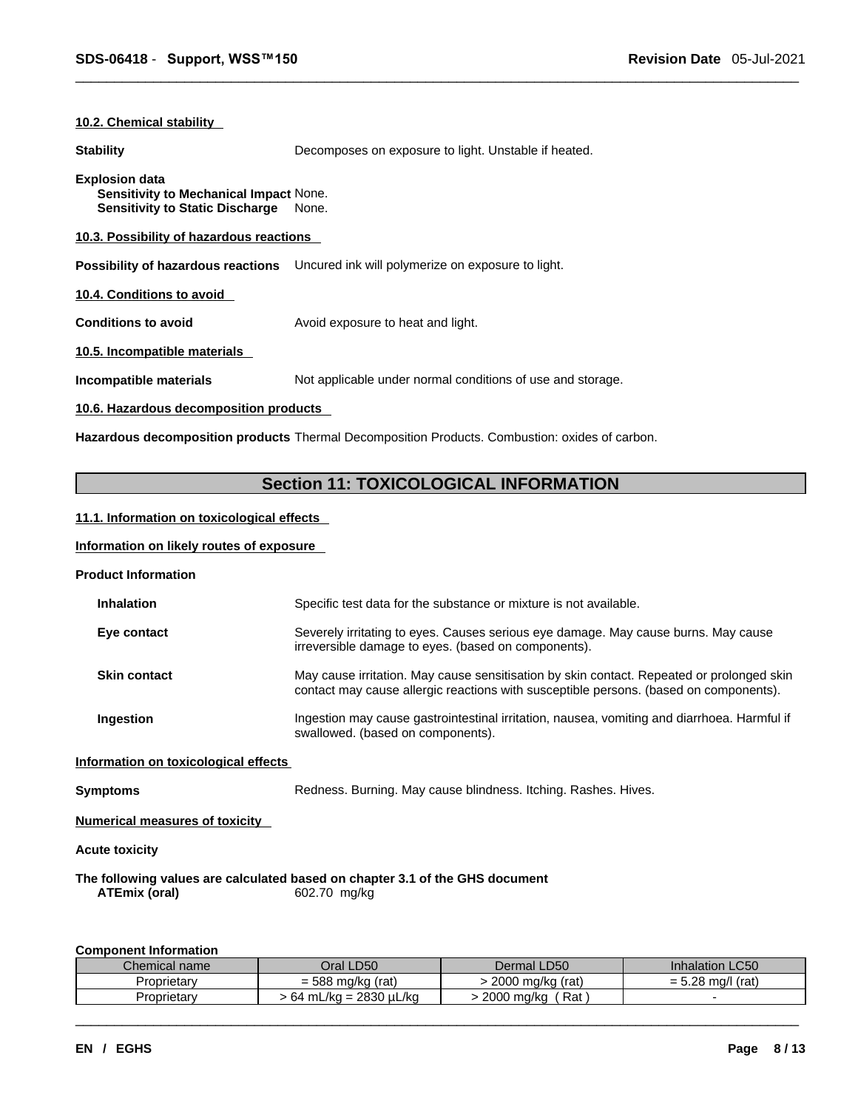#### **10.2. Chemical stability**

**Stability Decomposes on exposure to light. Unstable if heated.** Decomposes on exposure to light. Unstable if heated.

#### **Explosion data**

**Sensitivity to Mechanical Impact** None. **Sensitivity to Static Discharge** None.

#### **10.3. Possibility of hazardous reactions**

**Possibility of hazardous reactions** Uncured ink will polymerize on exposure to light.

**10.4. Conditions to avoid** 

**Conditions to avoid Avoid exposure to heat and light.** 

**10.5. Incompatible materials**

**Incompatible materials** Not applicable under normal conditions of use and storage.

#### **10.6. Hazardous decomposition products**

**Hazardous decomposition products** Thermal Decomposition Products. Combustion: oxides of carbon.

### **Section 11: TOXICOLOGICAL INFORMATION**

#### **11.1. Information on toxicologicaleffects**

#### **Information on likely routes of exposure**

**Product Information**

| <b>Inhalation</b>                    | Specific test data for the substance or mixture is not available.                                                                                                                  |
|--------------------------------------|------------------------------------------------------------------------------------------------------------------------------------------------------------------------------------|
| Eye contact                          | Severely irritating to eyes. Causes serious eye damage. May cause burns. May cause<br>irreversible damage to eyes. (based on components).                                          |
| <b>Skin contact</b>                  | May cause irritation. May cause sensitisation by skin contact. Repeated or prolonged skin<br>contact may cause allergic reactions with susceptible persons. (based on components). |
| Ingestion                            | Ingestion may cause gastrointestinal irritation, nausea, vomiting and diarrhoea. Harmful if<br>swallowed. (based on components).                                                   |
| Information on toxicological effects |                                                                                                                                                                                    |
| Symptoms                             | Redness. Burning. May cause blindness. Itching. Rashes. Hives.                                                                                                                     |
|                                      |                                                                                                                                                                                    |

**Numerical measures of toxicity**

**Acute toxicity** 

#### **The following values are calculated based on chapter 3.1 of the GHS document ATEmix (oral)** 602.70 mg/kg

#### **Component Information**

| Chemical name | Oral LD50                     | Dermal LD50         | <b>Inhalation LC50</b>                 |
|---------------|-------------------------------|---------------------|----------------------------------------|
| Proprietary   | $= 588 r$<br>(rat)<br>; ma/ka | 2000 mg/kg<br>(rat) | - ററ<br>ma/l<br>(rat)<br>- '<br>= ט.∠o |
| Proprietarv   | · 64 mL/kg = 2830 µL/kg       | Rat<br>2000 ma/ka   |                                        |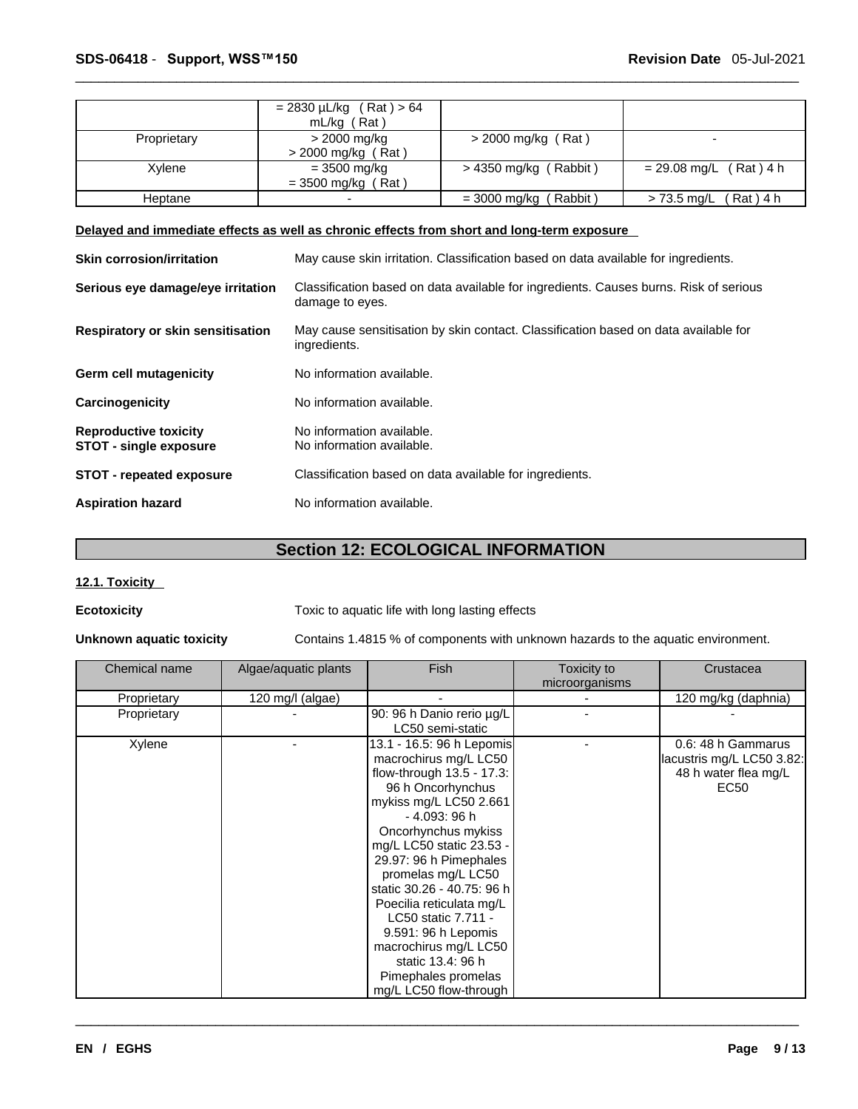|             | $= 2830 \mu L/kg$ (Rat) > 64 |                         |                             |
|-------------|------------------------------|-------------------------|-----------------------------|
|             | $mL/kg$ (Rat)                |                         |                             |
| Proprietary | > 2000 mg/kg                 | > 2000 mg/kg (Rat)      |                             |
|             | $>$ 2000 mg/kg (Rat)         |                         |                             |
| Xylene      | $= 3500$ mg/kg               | $>$ 4350 mg/kg (Rabbit) | $= 29.08$ mg/L (Rat) 4 h    |
|             | $=$ 3500 mg/kg (Rat)         |                         |                             |
| Heptane     |                              | $=$ 3000 mg/kg (Rabbit) | (Rat ) 4 h<br>> 73.5 mg/L ( |

#### **Delayed and immediate effects as well as chronic effects from short and long-term exposure**

| <b>Skin corrosion/irritation</b>                              | May cause skin irritation. Classification based on data available for ingredients.                       |
|---------------------------------------------------------------|----------------------------------------------------------------------------------------------------------|
| Serious eye damage/eye irritation                             | Classification based on data available for ingredients. Causes burns. Risk of serious<br>damage to eyes. |
| <b>Respiratory or skin sensitisation</b>                      | May cause sensitisation by skin contact. Classification based on data available for<br>ingredients.      |
| Germ cell mutagenicity                                        | No information available.                                                                                |
| Carcinogenicity                                               | No information available.                                                                                |
| <b>Reproductive toxicity</b><br><b>STOT - single exposure</b> | No information available.<br>No information available.                                                   |
| <b>STOT - repeated exposure</b>                               | Classification based on data available for ingredients.                                                  |
| <b>Aspiration hazard</b>                                      | No information available.                                                                                |

### **Section 12: ECOLOGICAL INFORMATION**

#### **12.1. Toxicity**

**Ecotoxicity Toxic to aquatic life with long lasting effects** 

**Unknown aquatic toxicity** Contains 1.4815 % of components with unknown hazards to the aquatic environment.

| Chemical name | Algae/aquatic plants | <b>Fish</b>                | Toxicity to    | Crustacea                 |
|---------------|----------------------|----------------------------|----------------|---------------------------|
|               |                      |                            | microorganisms |                           |
| Proprietary   | 120 mg/l (algae)     |                            |                | 120 mg/kg (daphnia)       |
| Proprietary   |                      | 90: 96 h Danio rerio µg/L  |                |                           |
|               |                      | LC50 semi-static           |                |                           |
| Xylene        |                      | 13.1 - 16.5: 96 h Lepomis  |                | 0.6: 48 h Gammarus        |
|               |                      | macrochirus mg/L LC50      |                | lacustris mg/L LC50 3.82: |
|               |                      | flow-through 13.5 - 17.3:  |                | 48 h water flea mg/L      |
|               |                      | 96 h Oncorhynchus          |                | EC50                      |
|               |                      | mykiss mg/L LC50 2.661     |                |                           |
|               |                      | - 4.093: 96 h              |                |                           |
|               |                      | Oncorhynchus mykiss        |                |                           |
|               |                      | mg/L LC50 static 23.53 -   |                |                           |
|               |                      | 29.97: 96 h Pimephales     |                |                           |
|               |                      | promelas mg/L LC50         |                |                           |
|               |                      | static 30.26 - 40.75: 96 h |                |                           |
|               |                      | Poecilia reticulata mg/L   |                |                           |
|               |                      | LC50 static 7.711 -        |                |                           |
|               |                      | 9.591: 96 h Lepomis        |                |                           |
|               |                      | macrochirus mg/L LC50      |                |                           |
|               |                      | static 13.4: 96 h          |                |                           |
|               |                      | Pimephales promelas        |                |                           |
|               |                      | mg/L LC50 flow-through     |                |                           |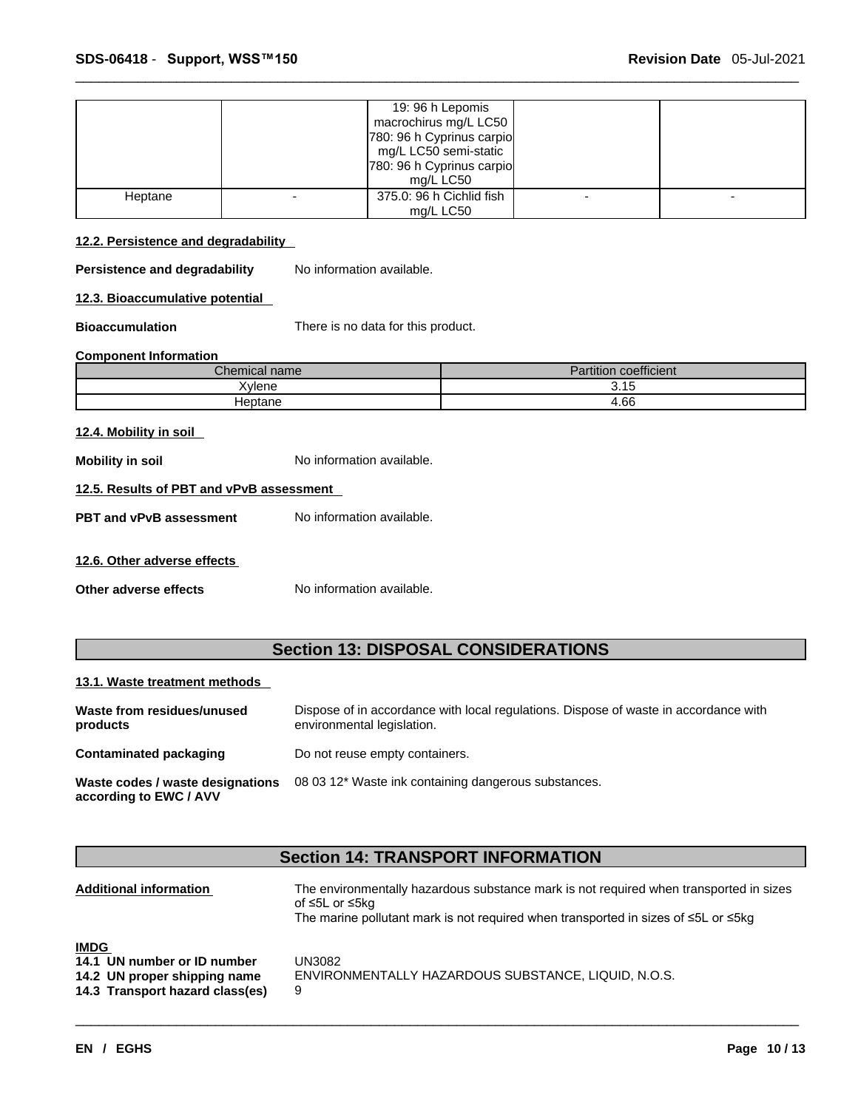|         | 19: 96 h Lepomis<br>macrochirus mg/L LC50<br>780: 96 h Cyprinus carpio<br>mg/L LC50 semi-static<br>780: 96 h Cyprinus carpio<br>mg/L LC50 |  |
|---------|-------------------------------------------------------------------------------------------------------------------------------------------|--|
|         |                                                                                                                                           |  |
| Heptane | 375.0: 96 h Cichlid fish                                                                                                                  |  |
|         | mg/L LC50                                                                                                                                 |  |

#### **12.2. Persistence and degradability**

**Persistence and degradability** No information available.

**12.3. Bioaccumulative potential**

**Bioaccumulation** There is no data for this product.

#### **Component Information**

| Chemical name | $\cdots$<br>1.1.1<br>-<br>Partition<br>coefficient |
|---------------|----------------------------------------------------|
| Xylene        | ? 15<br>ن. ا ب                                     |
| Heptane       | +.66                                               |

#### **12.4. Mobility in soil**

**Mobility in soil** No information available.

#### **12.5. Results of PBT and vPvB assessment**

**PBT** and **vPvB** assessment No information available.

#### **12.6. Other adverse effects**

**Other adverse effects** No information available.

### **Section 13: DISPOSAL CONSIDERATIONS**

#### **13.1. Waste treatment methods**

| Waste from residues/unused<br>products                     | Dispose of in accordance with local regulations. Dispose of waste in accordance with<br>environmental legislation. |
|------------------------------------------------------------|--------------------------------------------------------------------------------------------------------------------|
| Contaminated packaging                                     | Do not reuse empty containers.                                                                                     |
| Waste codes / waste designations<br>according to EWC / AVV | 08 03 12* Waste ink containing dangerous substances.                                                               |

### **Section 14: TRANSPORT INFORMATION**

| <b>Additional information</b>   | The environmentally hazardous substance mark is not required when transported in sizes<br>of ≤5L or ≤5kg<br>The marine pollutant mark is not required when transported in sizes of $\leq 5$ L or $\leq 5$ kg |
|---------------------------------|--------------------------------------------------------------------------------------------------------------------------------------------------------------------------------------------------------------|
| <b>IMDG</b>                     |                                                                                                                                                                                                              |
| 14.1 UN number or ID number     | UN3082                                                                                                                                                                                                       |
| 14.2 UN proper shipping name    | ENVIRONMENTALLY HAZARDOUS SUBSTANCE, LIQUID, N.O.S.                                                                                                                                                          |
| 14.3 Transport hazard class(es) | 9                                                                                                                                                                                                            |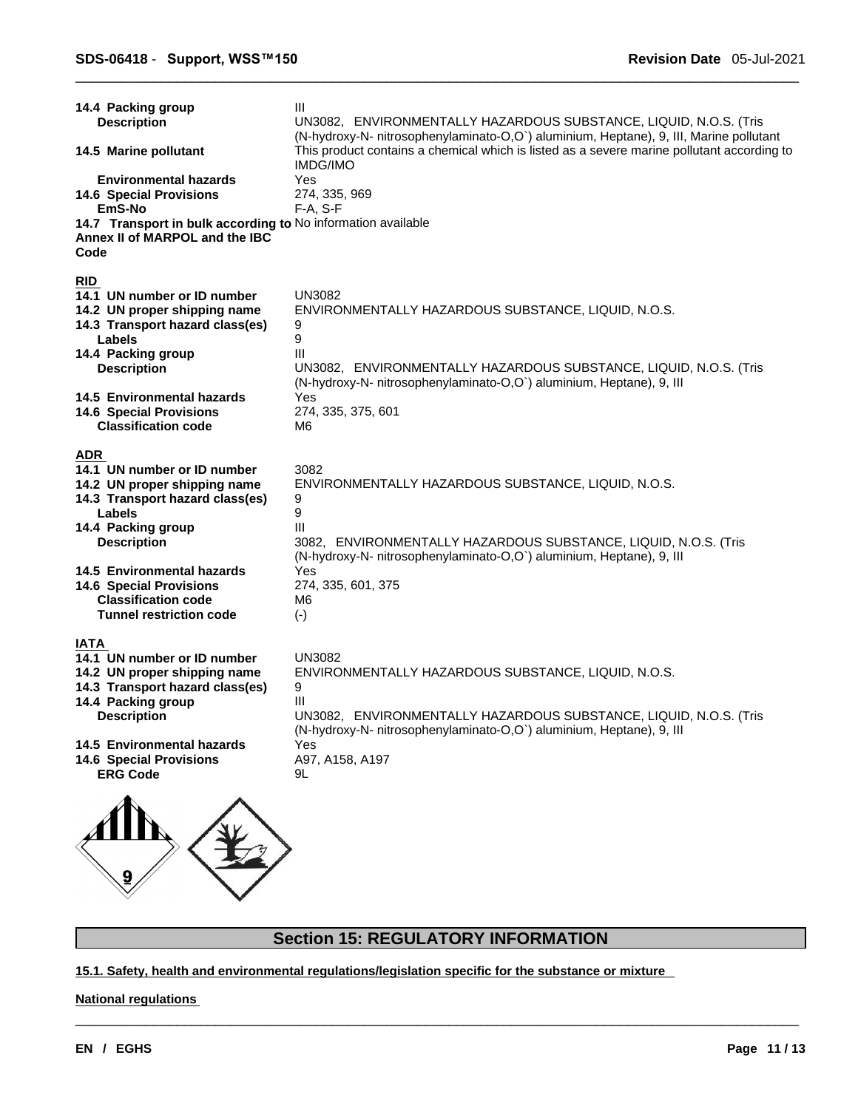| <b>Description</b><br>14.5 Marine pollutant<br><b>Environmental hazards</b><br><b>14.6 Special Provisions</b><br>EmS-No<br>14.7 Transport in bulk according to No information available<br>Annex II of MARPOL and the IBC<br>Code                  | UN3082, ENVIRONMENTALLY HAZARDOUS SUBSTANCE, LIQUID, N.O.S. (Tris<br>(N-hydroxy-N- nitrosophenylaminato-O,O`) aluminium, Heptane), 9, III, Marine pollutant<br>This product contains a chemical which is listed as a severe marine pollutant according to<br><b>IMDG/IMO</b><br>Yes<br>274, 335, 969<br>$F-A, S-F$ |
|----------------------------------------------------------------------------------------------------------------------------------------------------------------------------------------------------------------------------------------------------|--------------------------------------------------------------------------------------------------------------------------------------------------------------------------------------------------------------------------------------------------------------------------------------------------------------------|
| <b>RID</b>                                                                                                                                                                                                                                         | <b>UN3082</b>                                                                                                                                                                                                                                                                                                      |
| 14.1 UN number or ID number                                                                                                                                                                                                                        | ENVIRONMENTALLY HAZARDOUS SUBSTANCE, LIQUID, N.O.S.                                                                                                                                                                                                                                                                |
| 14.2 UN proper shipping name                                                                                                                                                                                                                       | 9                                                                                                                                                                                                                                                                                                                  |
| 14.3 Transport hazard class(es)                                                                                                                                                                                                                    | 9                                                                                                                                                                                                                                                                                                                  |
| Labels                                                                                                                                                                                                                                             | III                                                                                                                                                                                                                                                                                                                |
| 14.4 Packing group                                                                                                                                                                                                                                 | UN3082, ENVIRONMENTALLY HAZARDOUS SUBSTANCE, LIQUID, N.O.S. (Tris                                                                                                                                                                                                                                                  |
| <b>Description</b>                                                                                                                                                                                                                                 | (N-hydroxy-N- nitrosophenylaminato-O,O`) aluminium, Heptane), 9, III                                                                                                                                                                                                                                               |
| 14.5 Environmental hazards                                                                                                                                                                                                                         | Yes                                                                                                                                                                                                                                                                                                                |
| <b>14.6 Special Provisions</b>                                                                                                                                                                                                                     | 274, 335, 375, 601                                                                                                                                                                                                                                                                                                 |
| <b>Classification code</b>                                                                                                                                                                                                                         | M6                                                                                                                                                                                                                                                                                                                 |
| <b>ADR</b>                                                                                                                                                                                                                                         | 3082                                                                                                                                                                                                                                                                                                               |
| 14.1 UN number or ID number                                                                                                                                                                                                                        | ENVIRONMENTALLY HAZARDOUS SUBSTANCE, LIQUID, N.O.S.                                                                                                                                                                                                                                                                |
| 14.2 UN proper shipping name                                                                                                                                                                                                                       | 9                                                                                                                                                                                                                                                                                                                  |
| 14.3 Transport hazard class(es)                                                                                                                                                                                                                    | 9                                                                                                                                                                                                                                                                                                                  |
| Labels                                                                                                                                                                                                                                             | III                                                                                                                                                                                                                                                                                                                |
| 14.4 Packing group                                                                                                                                                                                                                                 | 3082, ENVIRONMENTALLY HAZARDOUS SUBSTANCE, LIQUID, N.O.S. (Tris                                                                                                                                                                                                                                                    |
| <b>Description</b>                                                                                                                                                                                                                                 | (N-hydroxy-N- nitrosophenylaminato-O,O`) aluminium, Heptane), 9, III                                                                                                                                                                                                                                               |
| 14.5 Environmental hazards                                                                                                                                                                                                                         | Yes                                                                                                                                                                                                                                                                                                                |
| <b>14.6 Special Provisions</b>                                                                                                                                                                                                                     | 274, 335, 601, 375                                                                                                                                                                                                                                                                                                 |
| <b>Classification code</b>                                                                                                                                                                                                                         | M6                                                                                                                                                                                                                                                                                                                 |
| <b>Tunnel restriction code</b>                                                                                                                                                                                                                     | $(-)$                                                                                                                                                                                                                                                                                                              |
| IATA<br>14.1 UN number or ID number<br>14.2 UN proper shipping name<br>14.3 Transport hazard class(es)<br>14.4 Packing group<br><b>Description</b><br>14.5 Environmental hazards<br><b>14.6 Special Provisions</b><br><b>ERG Code</b><br>$\Lambda$ | <b>UN3082</b><br>ENVIRONMENTALLY HAZARDOUS SUBSTANCE, LIQUID, N.O.S.<br>9<br>Ш<br>UN3082, ENVIRONMENTALLY HAZARDOUS SUBSTANCE, LIQUID, N.O.S. (Tris<br>(N-hydroxy-N- nitrosophenylaminato-O,O`) aluminium, Heptane), 9, III<br>Yes<br>A97, A158, A197<br>9L                                                        |

### **Section 15: REGULATORY INFORMATION**

 $\_$  ,  $\_$  ,  $\_$  ,  $\_$  ,  $\_$  ,  $\_$  ,  $\_$  ,  $\_$  ,  $\_$  ,  $\_$  ,  $\_$  ,  $\_$  ,  $\_$  ,  $\_$  ,  $\_$  ,  $\_$  ,  $\_$  ,  $\_$  ,  $\_$  ,  $\_$  ,  $\_$  ,  $\_$  ,  $\_$  ,  $\_$  ,  $\_$  ,  $\_$  ,  $\_$  ,  $\_$  ,  $\_$  ,  $\_$  ,  $\_$  ,  $\_$  ,  $\_$  ,  $\_$  ,  $\_$  ,  $\_$  ,  $\_$  ,

**15.1. Safety, health and environmental regulations/legislation specific for the substance or mixture**

#### **National regulations**

 $\overline{\mathscr{L}}$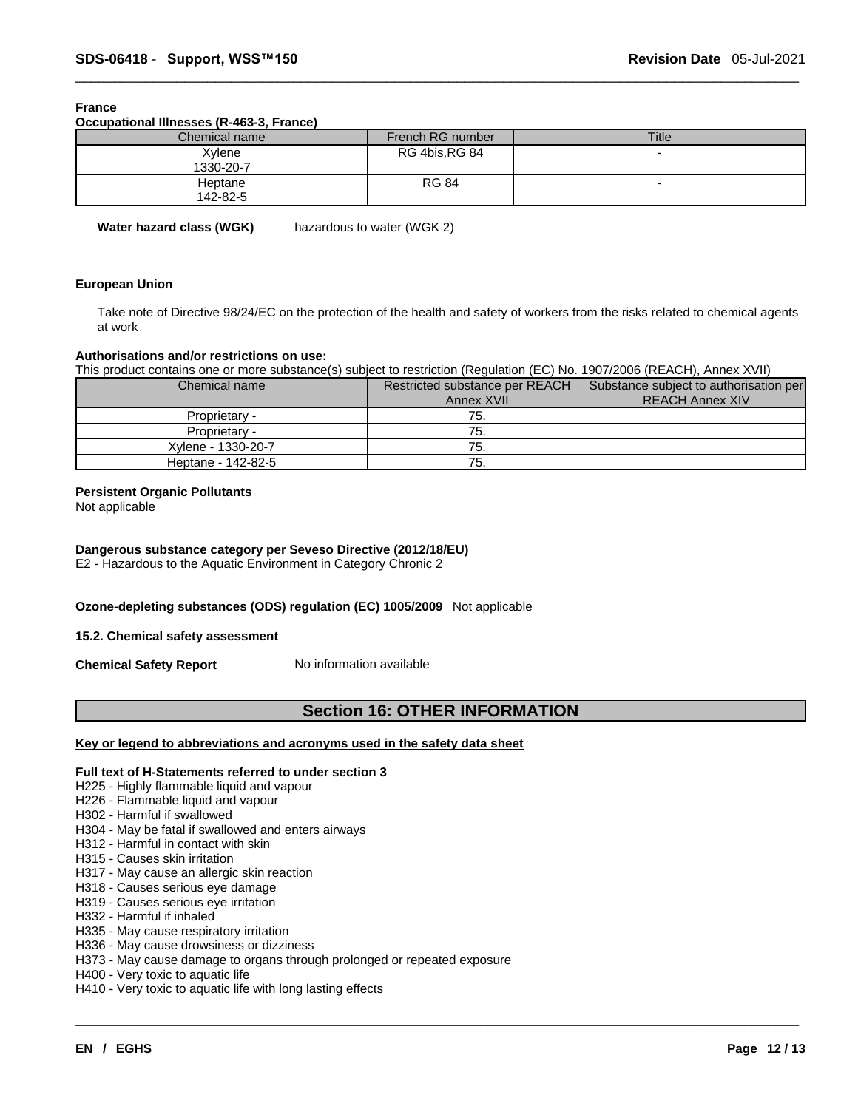#### **France**

**Occupational Illnesses (R-463-3, France)**

| Chemical name       | French RG number      | <b>Title</b>             |
|---------------------|-----------------------|--------------------------|
| Xvlene<br>1330-20-7 | <b>RG 4bis, RG 84</b> | -                        |
| Heptane<br>142-82-5 | <b>RG 84</b>          | $\overline{\phantom{0}}$ |

**Water hazard class (WGK)** hazardous to water (WGK 2)

#### **European Union**

Take note of Directive 98/24/EC on the protection of the health and safety of workers from the risks related to chemical agents at work

#### **Authorisations and/or restrictions on use:**

This product contains one or more substance(s) subject to restriction (Regulation (EC) No. 1907/2006 (REACH), Annex XVII)

| Chemical name      | Restricted substance per REACH | Substance subject to authorisation per |  |
|--------------------|--------------------------------|----------------------------------------|--|
|                    | Annex XVII                     | <b>REACH Annex XIV</b>                 |  |
| Proprietary -      | 75.                            |                                        |  |
| Proprietary -      | $\epsilon$ .                   |                                        |  |
| Xylene - 1330-20-7 | 75.                            |                                        |  |
| Heptane - 142-82-5 | 75.                            |                                        |  |

#### **Persistent Organic Pollutants**

Not applicable

#### **Dangerous substance category per Seveso Directive (2012/18/EU)**

E2 - Hazardous to the Aquatic Environment in Category Chronic 2

#### **Ozone-depleting substances (ODS) regulation (EC) 1005/2009** Not applicable

#### **15.2. Chemical safety assessment**

**Chemical Safety Report** No information available

### **Section 16: OTHER INFORMATION**

 $\_$  ,  $\_$  ,  $\_$  ,  $\_$  ,  $\_$  ,  $\_$  ,  $\_$  ,  $\_$  ,  $\_$  ,  $\_$  ,  $\_$  ,  $\_$  ,  $\_$  ,  $\_$  ,  $\_$  ,  $\_$  ,  $\_$  ,  $\_$  ,  $\_$  ,  $\_$  ,  $\_$  ,  $\_$  ,  $\_$  ,  $\_$  ,  $\_$  ,  $\_$  ,  $\_$  ,  $\_$  ,  $\_$  ,  $\_$  ,  $\_$  ,  $\_$  ,  $\_$  ,  $\_$  ,  $\_$  ,  $\_$  ,  $\_$  ,

#### **Key or legend to abbreviations and acronyms used in the safety data sheet**

#### **Full text of H-Statements referred to undersection 3**

- H225 Highly flammable liquid and vapour
- H226 Flammable liquid and vapour
- H302 Harmful if swallowed
- H304 May be fatal if swallowed and enters airways
- H312 Harmful in contact with skin
- H315 Causes skin irritation
- H317 May cause an allergic skin reaction
- H318 Causes serious eye damage
- H319 Causes serious eye irritation
- H332 Harmful if inhaled
- H335 May cause respiratory irritation H336 - May cause drowsiness or dizziness
- H373 May cause damage to organs through prolonged or repeated exposure
- H400 Very toxic to aquatic life
- H410 Very toxic to aquatic life with long lasting effects